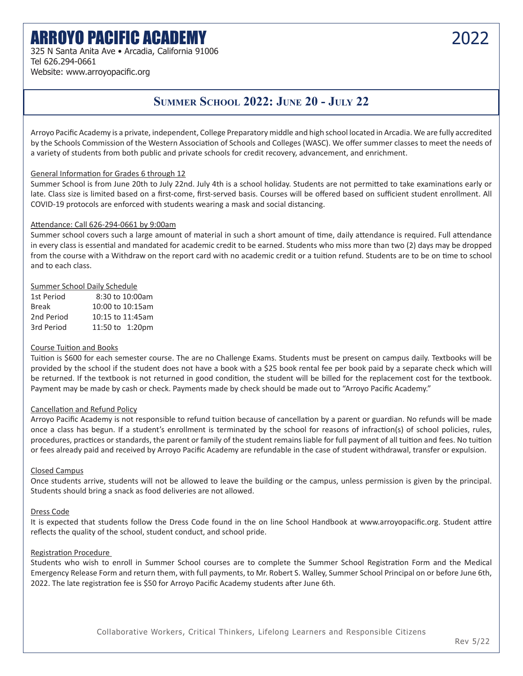# ARROYO PACIFIC ACADEMY 2022

325 N Santa Anita Ave • Arcadia, California 91006 Tel 626.294-0661 Website: www.arroyopacific.org

### **SUMMER SCHOOL 2022: JUNE 20 - JULY 22**

Arroyo Pacific Academy is a private, independent, College Preparatory middle and high school located in Arcadia. We are fully accredited by the Schools Commission of the Western Association of Schools and Colleges (WASC). We offer summer classes to meet the needs of a variety of students from both public and private schools for credit recovery, advancement, and enrichment.

#### General Information for Grades 6 through 12

Summer School is from June 20th to July 22nd. July 4th is a school holiday. Students are not permitted to take examinations early or late. Class size is limited based on a first-come, first-served basis. Courses will be offered based on sufficient student enrollment. All COVID-19 protocols are enforced with students wearing a mask and social distancing.

#### Attendance: Call 626-294-0661 by 9:00am

Summer school covers such a large amount of material in such a short amount of time, daily attendance is required. Full attendance in every class is essential and mandated for academic credit to be earned. Students who miss more than two (2) days may be dropped from the course with a Withdraw on the report card with no academic credit or a tuition refund. Students are to be on time to school and to each class.

#### Summer School Daily Schedule

| 1st Period   | 8:30 to 10:00am  |
|--------------|------------------|
| <b>Break</b> | 10:00 to 10:15am |
| 2nd Period   | 10:15 to 11:45am |
| 3rd Period   | 11:50 to 1:20pm  |

#### Course Tuition and Books

Tuition is \$600 for each semester course. The are no Challenge Exams. Students must be present on campus daily. Textbooks will be provided by the school if the student does not have a book with a \$25 book rental fee per book paid by a separate check which will be returned. If the textbook is not returned in good condition, the student will be billed for the replacement cost for the textbook. Payment may be made by cash or check. Payments made by check should be made out to "Arroyo Pacific Academy."

#### Cancellation and Refund Policy

Arroyo Pacific Academy is not responsible to refund tuition because of cancellation by a parent or guardian. No refunds will be made once a class has begun. If a student's enrollment is terminated by the school for reasons of infraction(s) of school policies, rules, procedures, practices or standards, the parent or family of the student remains liable for full payment of all tuition and fees. No tuition or fees already paid and received by Arroyo Pacific Academy are refundable in the case of student withdrawal, transfer or expulsion.

#### Closed Campus

Once students arrive, students will not be allowed to leave the building or the campus, unless permission is given by the principal. Students should bring a snack as food deliveries are not allowed.

#### Dress Code

It is expected that students follow the Dress Code found in the on line School Handbook at www.arroyopacific.org. Student attire reflects the quality of the school, student conduct, and school pride.

#### Registration Procedure

Students who wish to enroll in Summer School courses are to complete the Summer School Registration Form and the Medical Emergency Release Form and return them, with full payments, to Mr. Robert S. Walley, Summer School Principal on or before June 6th, 2022. The late registration fee is \$50 for Arroyo Pacific Academy students after June 6th.

Collaborative Workers, Critical Thinkers, Lifelong Learners and Responsible Citizens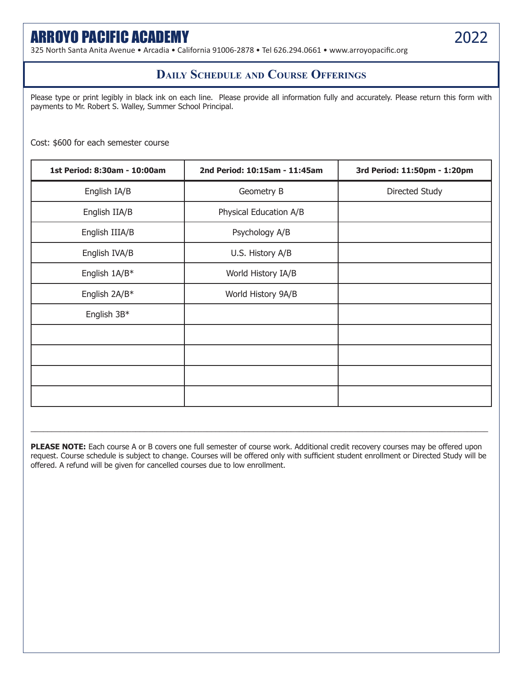## ARROYO PACIFIC ACADEMY 2022

325 North Santa Anita Avenue • Arcadia • California 91006-2878 • Tel 626.294.0661 • www.arroyopacific.org

### **Daily Schedule and Course Offerings**

Please type or print legibly in black ink on each line. Please provide all information fully and accurately. Please return this form with payments to Mr. Robert S. Walley, Summer School Principal.

Cost: \$600 for each semester course

| 1st Period: 8:30am - 10:00am | 2nd Period: 10:15am - 11:45am | 3rd Period: 11:50pm - 1:20pm |
|------------------------------|-------------------------------|------------------------------|
| English IA/B                 | Geometry B                    | Directed Study               |
| English IIA/B                | Physical Education A/B        |                              |
| English IIIA/B               | Psychology A/B                |                              |
| English IVA/B                | U.S. History A/B              |                              |
| English 1A/B*                | World History IA/B            |                              |
| English 2A/B*                | World History 9A/B            |                              |
| English 3B*                  |                               |                              |
|                              |                               |                              |
|                              |                               |                              |
|                              |                               |                              |
|                              |                               |                              |

**PLEASE NOTE:** Each course A or B covers one full semester of course work. Additional credit recovery courses may be offered upon request. Course schedule is subject to change. Courses will be offered only with sufficient student enrollment or Directed Study will be offered. A refund will be given for cancelled courses due to low enrollment.

 $\_$  ,  $\_$  ,  $\_$  ,  $\_$  ,  $\_$  ,  $\_$  ,  $\_$  ,  $\_$  ,  $\_$  ,  $\_$  ,  $\_$  ,  $\_$  ,  $\_$  ,  $\_$  ,  $\_$  ,  $\_$  ,  $\_$  ,  $\_$  ,  $\_$  ,  $\_$  ,  $\_$  ,  $\_$  ,  $\_$  ,  $\_$  ,  $\_$  ,  $\_$  ,  $\_$  ,  $\_$  ,  $\_$  ,  $\_$  ,  $\_$  ,  $\_$  ,  $\_$  ,  $\_$  ,  $\_$  ,  $\_$  ,  $\_$  ,